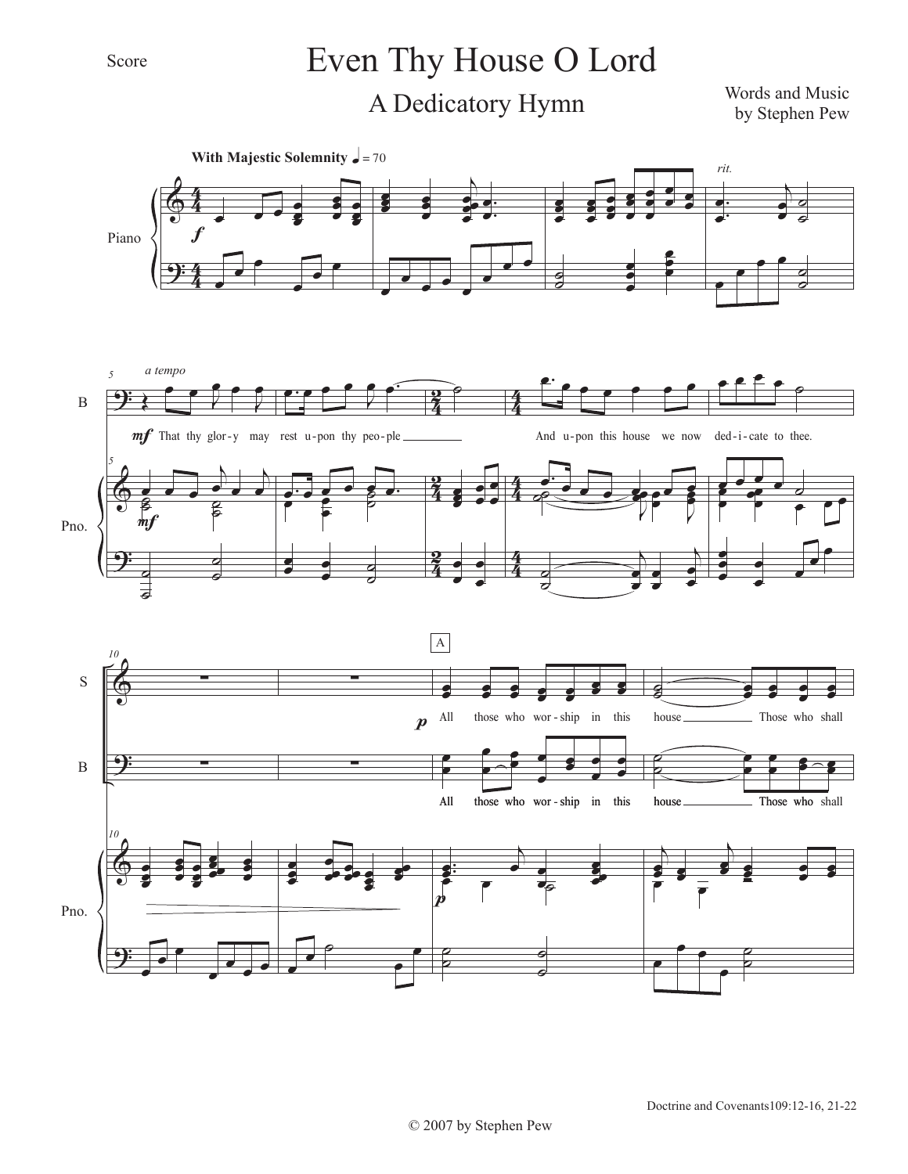## Even Thy House O Lord

A Dedicatory Hymn

Words and Music by Stephen Pew

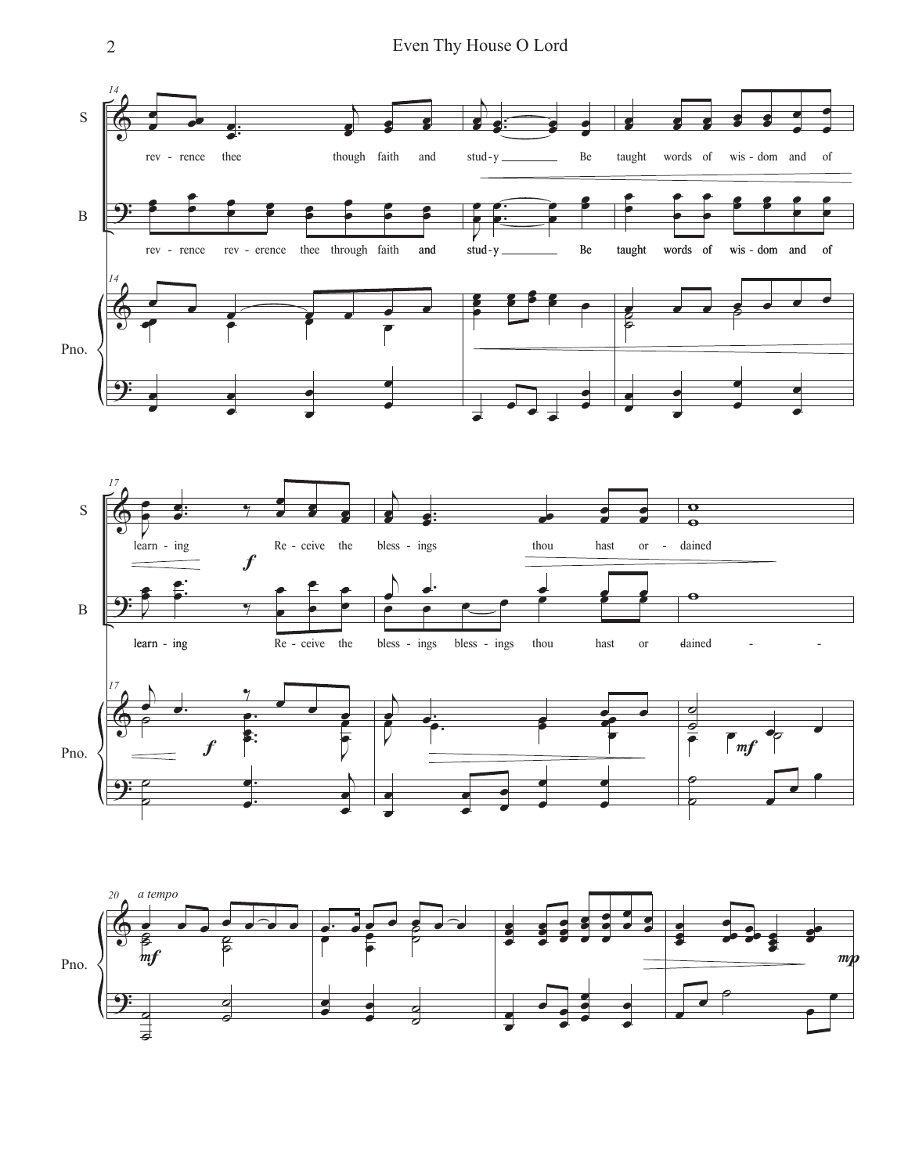2 Even Thy House O Lord





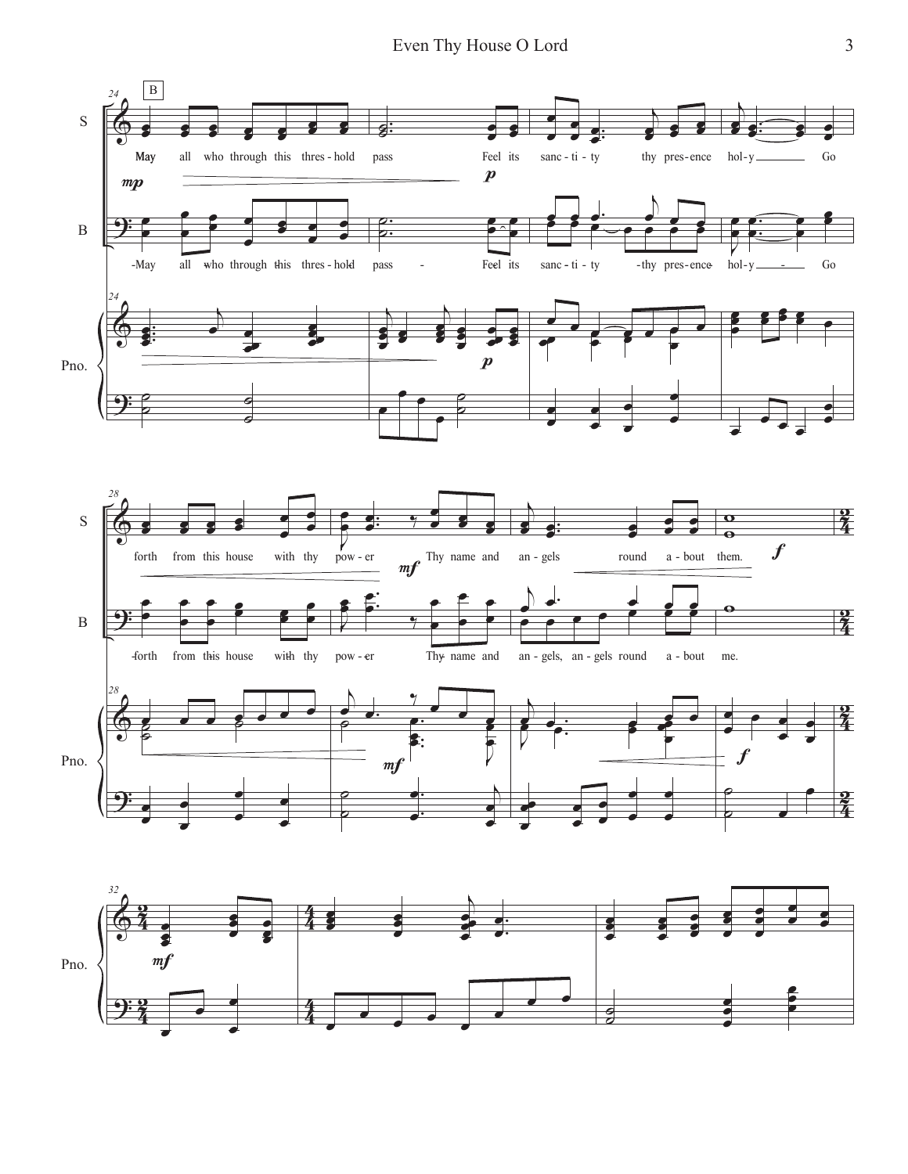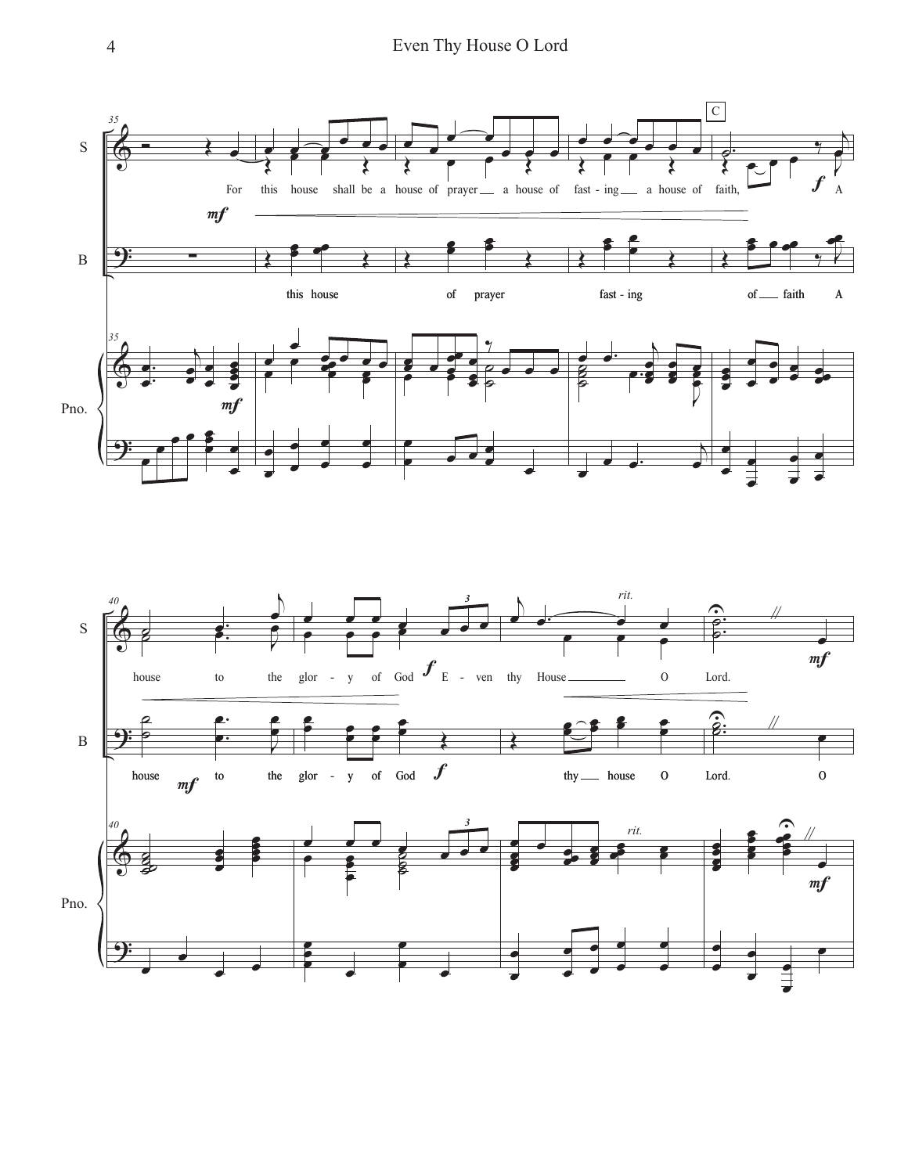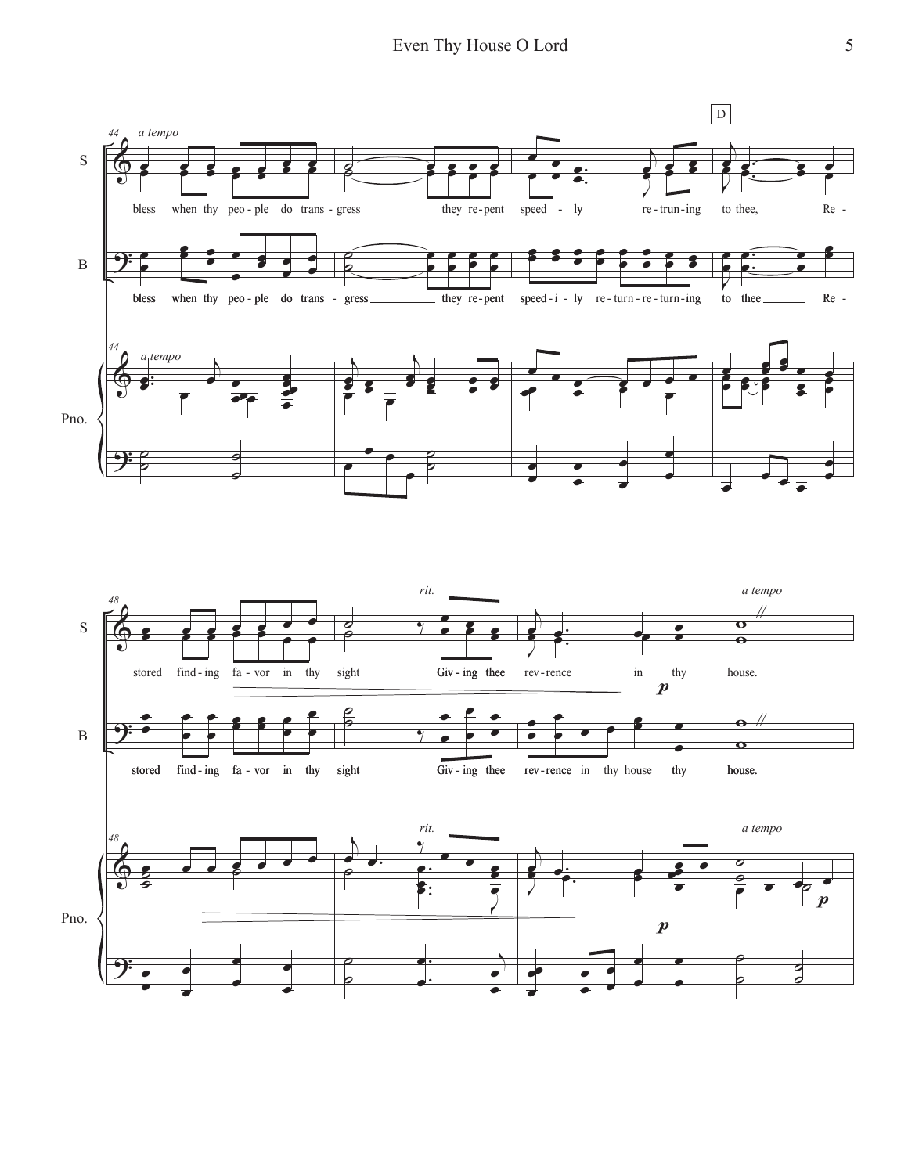